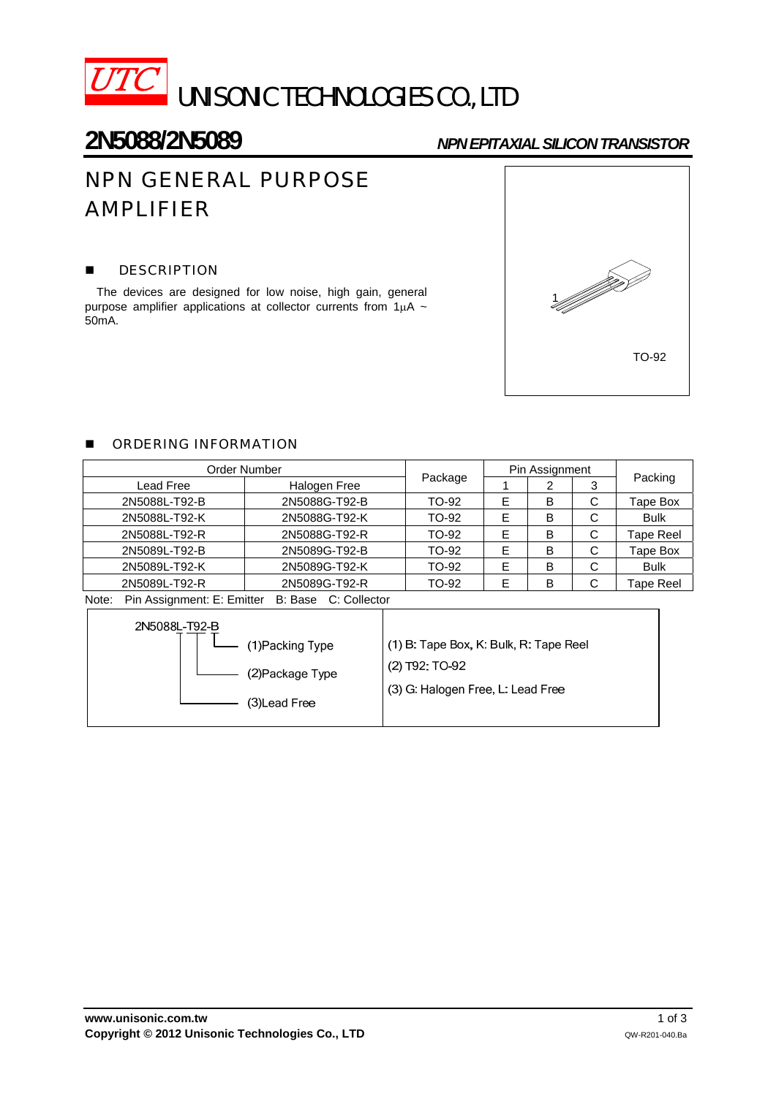

## **2N5088/2N5089** *NPN EPITAXIAL SILICON TRANSISTOR*

# NPN GENERAL PURPOSE AMPLIFIER

### **DESCRIPTION**

The devices are designed for low noise, high gain, general purpose amplifier applications at collector currents from 1μA ~ 50mA.



## **DE ORDERING INFORMATION**

| Order Number  |               |              |   | Pin Assignment |         |             |
|---------------|---------------|--------------|---|----------------|---------|-------------|
| Lead Free     | Halogen Free  | Package<br>2 |   | 3              | Packing |             |
| 2N5088L-T92-B | 2N5088G-T92-B | TO-92        | Е | B              | C       | Tape Box    |
| 2N5088L-T92-K | 2N5088G-T92-K | TO-92        | E | в              | C       | <b>Bulk</b> |
| 2N5088L-T92-R | 2N5088G-T92-R | TO-92        | E | в              | C       | Tape Reel   |
| 2N5089L-T92-B | 2N5089G-T92-B | TO-92        | Е | в              | C       | Tape Box    |
| 2N5089L-T92-K | 2N5089G-T92-K | TO-92        | E | в              | C       | <b>Bulk</b> |
| 2N5089L-T92-R | 2N5089G-T92-R | TO-92        | E | В              | С       | Tape Reel   |

Note: Pin Assignment: E: Emitter B: Base C: Collector

| 2N5088L-T92-B    |                                        |
|------------------|----------------------------------------|
| (1) Packing Type | (1) B: Tape Box, K: Bulk, R: Tape Reel |
| (2) Package Type | $(2)$ T92: TO-92                       |
| (3) Lead Free    | (3) G: Halogen Free, L: Lead Free      |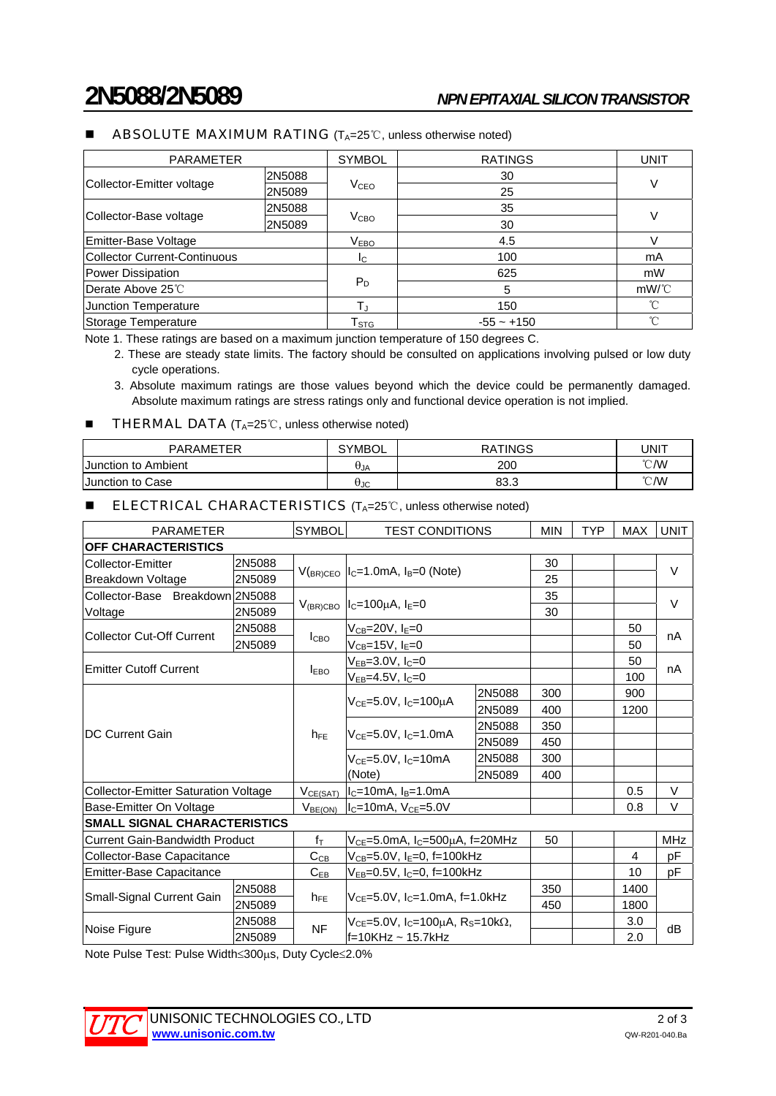#### ■ ABSOLUTE MAXIMUM RATING (T<sub>A=25</sub>°C, unless otherwise noted)

| <b>PARAMETER</b>             |        | <b>SYMBOL</b>               | <b>RATINGS</b> | <b>UNIT</b>  |  |
|------------------------------|--------|-----------------------------|----------------|--------------|--|
| Collector-Emitter voltage    | 2N5088 |                             | 30             |              |  |
|                              | 2N5089 | <b>V<sub>CEO</sub></b>      | 25             |              |  |
| Collector-Base voltage       | 2N5088 |                             | 35             |              |  |
|                              | 2N5089 | V <sub>CBO</sub>            | 30             |              |  |
| Emitter-Base Voltage         |        | V <sub>EBO</sub>            | 4.5            |              |  |
| Collector Current-Continuous |        | Ic.                         | 100            | mA           |  |
| Power Dissipation            |        |                             | 625            | mW           |  |
| <b>Derate Above 25℃</b>      |        | $P_D$                       | 5              | $mW$ /°C     |  |
| Junction Temperature         |        | Tu                          | 150            | $^{\circ}$ C |  |
| Storage Temperature          |        | $\mathsf{T}_{\texttt{STG}}$ | $-55 - +150$   | °C           |  |

Note 1. These ratings are based on a maximum junction temperature of 150 degrees C.

2. These are steady state limits. The factory should be consulted on applications involving pulsed or low duty cycle operations.

3. Absolute maximum ratings are those values beyond which the device could be permanently damaged. Absolute maximum ratings are stress ratings only and functional device operation is not implied.

#### ■ THERMAL DATA  $(T_A=25^{\circ}\text{C},$  unless otherwise noted)

| <b>PARAMETER</b>        | <b>SYMBOL</b> | <b>RATINGS</b> | UNIT           |
|-------------------------|---------------|----------------|----------------|
| Junction to Ambient     | <b>UJA</b>    | 200            | $\degree$ C/W  |
| <b>Junction to Case</b> | θJC           | 83.3           | $^{\circ}$ C/W |

#### **■** ELECTRICAL CHARACTERISTICS (T<sub>A</sub>=25℃, unless otherwise noted)

| <b>PARAMETER</b>                            |        | <b>SYMBOL</b>    | <b>TEST CONDITIONS</b>                                       |        | <b>MIN</b> | <b>TYP</b> | <b>MAX</b> | <b>UNIT</b> |
|---------------------------------------------|--------|------------------|--------------------------------------------------------------|--------|------------|------------|------------|-------------|
| <b>OFF CHARACTERISTICS</b>                  |        |                  |                                                              |        |            |            |            |             |
| Collector-Emitter                           | 2N5088 |                  | $IC=1.0mA$ , $IB=0$ (Note)                                   |        | 30         |            |            | $\vee$      |
| Breakdown Voltage                           | 2N5089 | $V_{(BR)CEO}$    |                                                              |        | 25         |            |            |             |
| Collector-Base Breakdown 2N5088             |        |                  | $I_C = 100 \mu A$ , $I_E = 0$                                |        | 35         |            |            | $\vee$      |
| Voltage                                     | 2N5089 | $V_{(BR)CBO}$    |                                                              |        | 30         |            |            |             |
| <b>Collector Cut-Off Current</b>            | 2N5088 |                  | $\rm V_{CB}{=}20V$ , I $\rm _E{=}0$                          |        |            |            | 50         | nA          |
|                                             | 2N5089 | I <sub>CBO</sub> | $V_{\text{CB}}$ =15V, I $_{\text{E}}$ =0                     |        |            |            | 50         |             |
| <b>Emitter Cutoff Current</b>               |        | <b>LEBO</b>      | $V_{EB} = 3.0 V, I_C = 0$                                    |        |            |            | 50         | nA          |
|                                             |        |                  | V <sub>EB</sub> =4.5V, I <sub>C</sub> =0                     |        |            |            | 100        |             |
| <b>DC Current Gain</b>                      |        |                  | $V_{CE} = 5.0V$ , I <sub>C</sub> =100µA                      | 2N5088 | 300        |            | 900        |             |
|                                             |        | $h_{FF}$         |                                                              | 2N5089 | 400        |            | 1200       |             |
|                                             |        |                  | $V_{CF} = 5.0V$ , $I_C = 1.0mA$                              | 2N5088 | 350        |            |            |             |
|                                             |        |                  |                                                              | 2N5089 | 450        |            |            |             |
|                                             |        |                  | $V_{CE}$ =5.0V, $I_C$ =10mA<br>(Note)                        | 2N5088 | 300        |            |            |             |
|                                             |        |                  |                                                              | 2N5089 | 400        |            |            |             |
| <b>Collector-Emitter Saturation Voltage</b> |        | VCE(SAT)         | $IC=10mA$ , $IB=1.0mA$                                       |        |            |            | 0.5        | V           |
| Base-Emitter On Voltage                     |        | $V_{BE(ON)}$     | $I_c = 10mA, V_{CE} = 5.0V$                                  |        |            |            | 0.8        | V           |
| <b>SMALL SIGNAL CHARACTERISTICS</b>         |        |                  |                                                              |        |            |            |            |             |
| <b>Current Gain-Bandwidth Product</b>       |        | $f_{\text{T}}$   | $V_{CE}$ =5.0mA, I <sub>C</sub> =500µA, f=20MHz              |        | 50         |            |            | <b>MHz</b>  |
| Collector-Base Capacitance                  |        | $C_{CB}$         | V <sub>CB</sub> =5.0V, I <sub>E</sub> =0, f=100kHz           |        |            |            | 4          | рF          |
| <b>Emitter-Base Capacitance</b>             |        | $C_{EB}$         | $V_{EB}$ =0.5V, I <sub>C</sub> =0, f=100kHz                  |        |            |            | 10         | рF          |
| Small-Signal Current Gain                   | 2N5088 | $h_{FE}$         | $V_{CF} = 5.0V$ , $I_C = 1.0mA$ , f=1.0kHz                   |        | 350        |            | 1400       |             |
|                                             | 2N5089 |                  |                                                              |        | 450        |            | 1800       |             |
|                                             | 2N5088 | <b>NF</b>        | $V_{CF}$ =5.0V, I <sub>C</sub> =100μA, R <sub>S</sub> =10kΩ, |        |            |            | 3.0        |             |
| Noise Figure                                | 2N5089 |                  | f=10KHz ~ 15.7kHz                                            |        |            |            | 2.0        | dB          |

Note Pulse Test: Pulse Width≤300μs, Duty Cycle≤2.0%